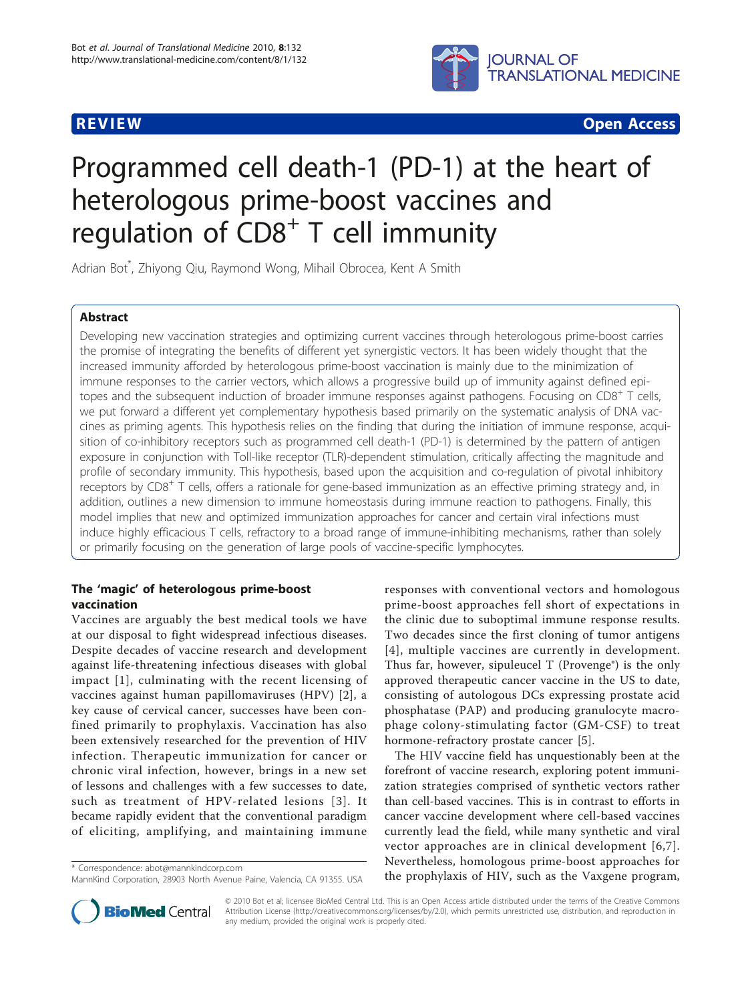

**REVIEW CONSTRUCTION CONSTRUCTION CONSTRUCTS** 

# Programmed cell death-1 (PD-1) at the heart of heterologous prime-boost vaccines and regulation of  $CDS<sup>+</sup> T$  cell immunity

Adrian Bot\* , Zhiyong Qiu, Raymond Wong, Mihail Obrocea, Kent A Smith

# Abstract

Developing new vaccination strategies and optimizing current vaccines through heterologous prime-boost carries the promise of integrating the benefits of different yet synergistic vectors. It has been widely thought that the increased immunity afforded by heterologous prime-boost vaccination is mainly due to the minimization of immune responses to the carrier vectors, which allows a progressive build up of immunity against defined epitopes and the subsequent induction of broader immune responses against pathogens. Focusing on CD8<sup>+</sup> T cells, we put forward a different yet complementary hypothesis based primarily on the systematic analysis of DNA vaccines as priming agents. This hypothesis relies on the finding that during the initiation of immune response, acquisition of co-inhibitory receptors such as programmed cell death-1 (PD-1) is determined by the pattern of antigen exposure in conjunction with Toll-like receptor (TLR)-dependent stimulation, critically affecting the magnitude and profile of secondary immunity. This hypothesis, based upon the acquisition and co-regulation of pivotal inhibitory receptors by CD8<sup>+</sup> T cells, offers a rationale for gene-based immunization as an effective priming strategy and, in addition, outlines a new dimension to immune homeostasis during immune reaction to pathogens. Finally, this model implies that new and optimized immunization approaches for cancer and certain viral infections must induce highly efficacious T cells, refractory to a broad range of immune-inhibiting mechanisms, rather than solely or primarily focusing on the generation of large pools of vaccine-specific lymphocytes.

# The 'magic' of heterologous prime-boost vaccination

Vaccines are arguably the best medical tools we have at our disposal to fight widespread infectious diseases. Despite decades of vaccine research and development against life-threatening infectious diseases with global impact [[1\]](#page-8-0), culminating with the recent licensing of vaccines against human papillomaviruses (HPV) [[2\]](#page-8-0), a key cause of cervical cancer, successes have been confined primarily to prophylaxis. Vaccination has also been extensively researched for the prevention of HIV infection. Therapeutic immunization for cancer or chronic viral infection, however, brings in a new set of lessons and challenges with a few successes to date, such as treatment of HPV-related lesions [[3\]](#page-8-0). It became rapidly evident that the conventional paradigm of eliciting, amplifying, and maintaining immune

responses with conventional vectors and homologous prime-boost approaches fell short of expectations in the clinic due to suboptimal immune response results. Two decades since the first cloning of tumor antigens [[4\]](#page-8-0), multiple vaccines are currently in development. Thus far, however, sipuleucel T (Provenge®) is the only approved therapeutic cancer vaccine in the US to date, consisting of autologous DCs expressing prostate acid phosphatase (PAP) and producing granulocyte macrophage colony-stimulating factor (GM-CSF) to treat hormone-refractory prostate cancer [[5\]](#page-8-0).

The HIV vaccine field has unquestionably been at the forefront of vaccine research, exploring potent immunization strategies comprised of synthetic vectors rather than cell-based vaccines. This is in contrast to efforts in cancer vaccine development where cell-based vaccines currently lead the field, while many synthetic and viral vector approaches are in clinical development [[6](#page-8-0),[7\]](#page-8-0). Nevertheless, homologous prime-boost approaches for the vertifieress, nonfologous prime-boost approaches for<br>Mannkind Corporation 28903 North Avenue Paine Valencia CA 91355 USA the prophylaxis of HIV, such as the Vaxgene program,



© 2010 Bot et al; licensee BioMed Central Ltd. This is an Open Access article distributed under the terms of the Creative Commons Attribution License [\(http://creativecommons.org/licenses/by/2.0](http://creativecommons.org/licenses/by/2.0)), which permits unrestricted use, distribution, and reproduction in any medium, provided the original work is properly cited.

MannKind Corporation, 28903 North Avenue Paine, Valencia, CA 91355. USA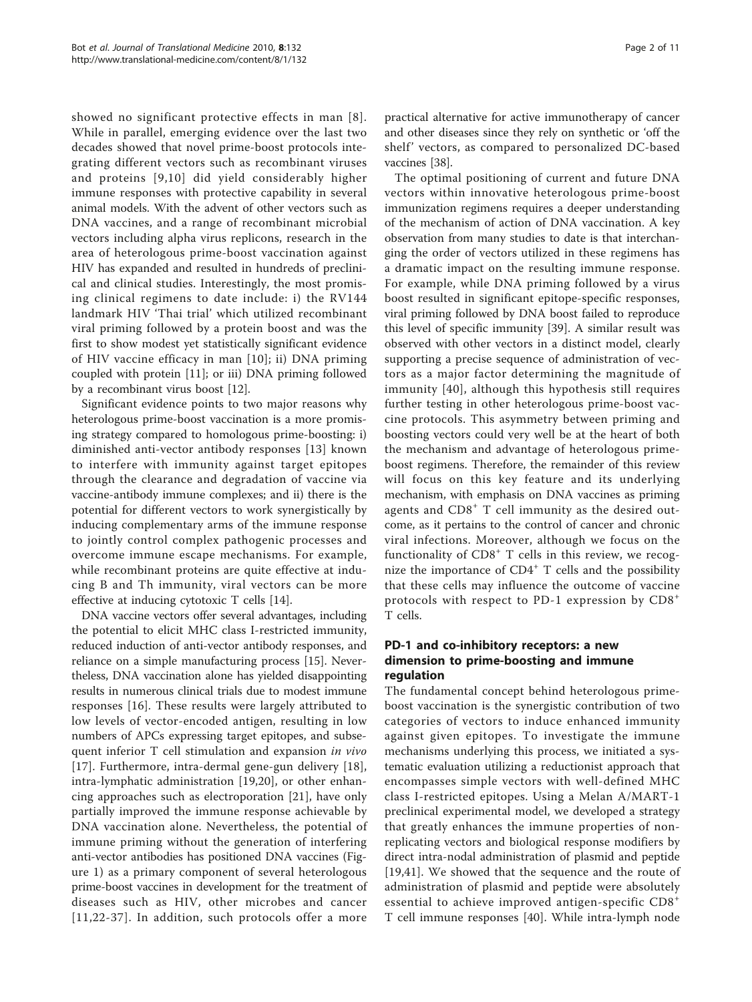showed no significant protective effects in man [[8\]](#page-8-0). While in parallel, emerging evidence over the last two decades showed that novel prime-boost protocols integrating different vectors such as recombinant viruses and proteins [[9](#page-8-0),[10\]](#page-8-0) did yield considerably higher immune responses with protective capability in several animal models. With the advent of other vectors such as DNA vaccines, and a range of recombinant microbial vectors including alpha virus replicons, research in the area of heterologous prime-boost vaccination against HIV has expanded and resulted in hundreds of preclinical and clinical studies. Interestingly, the most promising clinical regimens to date include: i) the RV144 landmark HIV 'Thai trial' which utilized recombinant viral priming followed by a protein boost and was the first to show modest yet statistically significant evidence of HIV vaccine efficacy in man [[10](#page-8-0)]; ii) DNA priming coupled with protein [[11\]](#page-8-0); or iii) DNA priming followed by a recombinant virus boost [\[12](#page-8-0)].

Significant evidence points to two major reasons why heterologous prime-boost vaccination is a more promising strategy compared to homologous prime-boosting: i) diminished anti-vector antibody responses [[13](#page-8-0)] known to interfere with immunity against target epitopes through the clearance and degradation of vaccine via vaccine-antibody immune complexes; and ii) there is the potential for different vectors to work synergistically by inducing complementary arms of the immune response to jointly control complex pathogenic processes and overcome immune escape mechanisms. For example, while recombinant proteins are quite effective at inducing B and Th immunity, viral vectors can be more effective at inducing cytotoxic T cells [[14](#page-8-0)].

DNA vaccine vectors offer several advantages, including the potential to elicit MHC class I-restricted immunity, reduced induction of anti-vector antibody responses, and reliance on a simple manufacturing process [[15\]](#page-8-0). Nevertheless, DNA vaccination alone has yielded disappointing results in numerous clinical trials due to modest immune responses [[16](#page-8-0)]. These results were largely attributed to low levels of vector-encoded antigen, resulting in low numbers of APCs expressing target epitopes, and subsequent inferior T cell stimulation and expansion in vivo [[17\]](#page-8-0). Furthermore, intra-dermal gene-gun delivery [[18](#page-8-0)], intra-lymphatic administration [\[19,20](#page-8-0)], or other enhancing approaches such as electroporation [[21\]](#page-8-0), have only partially improved the immune response achievable by DNA vaccination alone. Nevertheless, the potential of immune priming without the generation of interfering anti-vector antibodies has positioned DNA vaccines (Figure [1\)](#page-2-0) as a primary component of several heterologous prime-boost vaccines in development for the treatment of diseases such as HIV, other microbes and cancer [[11,22-](#page-8-0)[37](#page-9-0)]. In addition, such protocols offer a more

practical alternative for active immunotherapy of cancer and other diseases since they rely on synthetic or 'off the shelf' vectors, as compared to personalized DC-based vaccines [[38](#page-9-0)].

The optimal positioning of current and future DNA vectors within innovative heterologous prime-boost immunization regimens requires a deeper understanding of the mechanism of action of DNA vaccination. A key observation from many studies to date is that interchanging the order of vectors utilized in these regimens has a dramatic impact on the resulting immune response. For example, while DNA priming followed by a virus boost resulted in significant epitope-specific responses, viral priming followed by DNA boost failed to reproduce this level of specific immunity [[39\]](#page-9-0). A similar result was observed with other vectors in a distinct model, clearly supporting a precise sequence of administration of vectors as a major factor determining the magnitude of immunity [[40](#page-9-0)], although this hypothesis still requires further testing in other heterologous prime-boost vaccine protocols. This asymmetry between priming and boosting vectors could very well be at the heart of both the mechanism and advantage of heterologous primeboost regimens. Therefore, the remainder of this review will focus on this key feature and its underlying mechanism, with emphasis on DNA vaccines as priming agents and  $CD8<sup>+</sup>$  T cell immunity as the desired outcome, as it pertains to the control of cancer and chronic viral infections. Moreover, although we focus on the functionality of  $CD8<sup>+</sup>$  T cells in this review, we recognize the importance of  $CD4^+$  T cells and the possibility that these cells may influence the outcome of vaccine protocols with respect to PD-1 expression by CD8<sup>+</sup> T cells.

# PD-1 and co-inhibitory receptors: a new dimension to prime-boosting and immune regulation

The fundamental concept behind heterologous primeboost vaccination is the synergistic contribution of two categories of vectors to induce enhanced immunity against given epitopes. To investigate the immune mechanisms underlying this process, we initiated a systematic evaluation utilizing a reductionist approach that encompasses simple vectors with well-defined MHC class I-restricted epitopes. Using a Melan A/MART-1 preclinical experimental model, we developed a strategy that greatly enhances the immune properties of nonreplicating vectors and biological response modifiers by direct intra-nodal administration of plasmid and peptide [[19](#page-8-0)[,41](#page-9-0)]. We showed that the sequence and the route of administration of plasmid and peptide were absolutely essential to achieve improved antigen-specific CD8<sup>+</sup> T cell immune responses [[40\]](#page-9-0). While intra-lymph node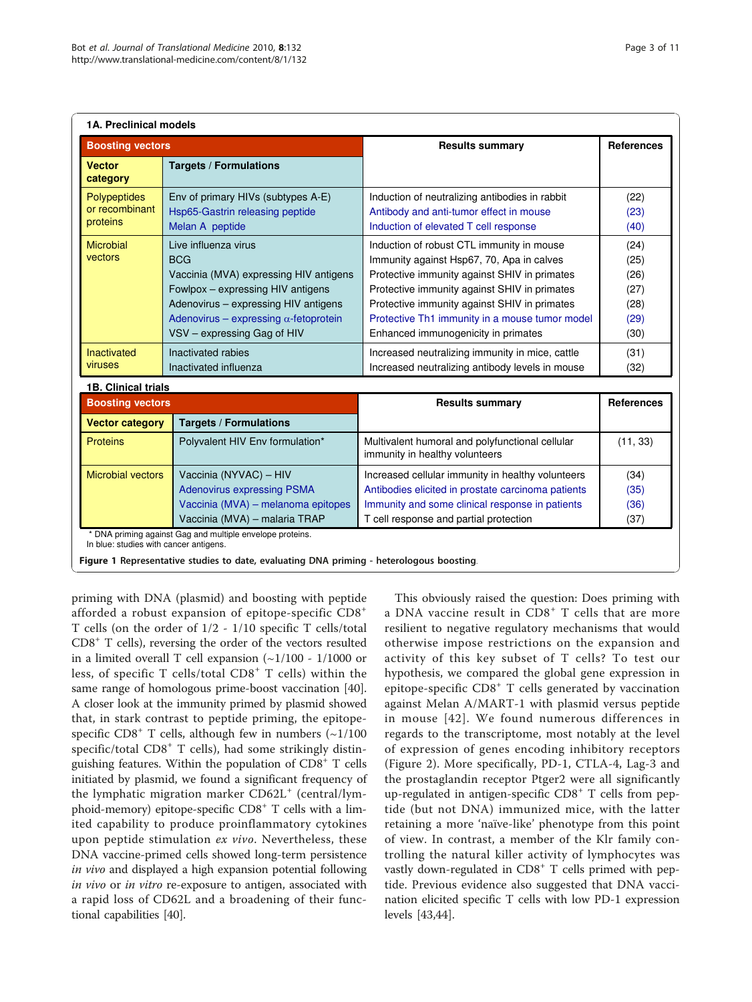<span id="page-2-0"></span>

| <b>Boosting vectors</b>                           |                                                                                                                                                                                                                                           | <b>Results summary</b>                                                                                                                                                                                                                                                                                                          | <b>References</b>                                    |
|---------------------------------------------------|-------------------------------------------------------------------------------------------------------------------------------------------------------------------------------------------------------------------------------------------|---------------------------------------------------------------------------------------------------------------------------------------------------------------------------------------------------------------------------------------------------------------------------------------------------------------------------------|------------------------------------------------------|
| <b>Vector</b><br>category                         | <b>Targets / Formulations</b>                                                                                                                                                                                                             |                                                                                                                                                                                                                                                                                                                                 |                                                      |
| Polypeptides<br>or recombinant<br>proteins        | Env of primary HIVs (subtypes A-E)<br>Hsp65-Gastrin releasing peptide<br>Melan A peptide                                                                                                                                                  | Induction of neutralizing antibodies in rabbit<br>Antibody and anti-tumor effect in mouse<br>Induction of elevated T cell response                                                                                                                                                                                              | (22)<br>(23)<br>(40)                                 |
| <b>Microbial</b><br>vectors                       | Live influenza virus<br><b>BCG</b><br>Vaccinia (MVA) expressing HIV antigens<br>Fowlpox – expressing HIV antigens<br>Adenovirus - expressing HIV antigens<br>Adenovirus - expressing $\alpha$ -fetoprotein<br>VSV - expressing Gag of HIV | Induction of robust CTL immunity in mouse<br>Immunity against Hsp67, 70, Apa in calves<br>Protective immunity against SHIV in primates<br>Protective immunity against SHIV in primates<br>Protective immunity against SHIV in primates<br>Protective Th1 immunity in a mouse tumor model<br>Enhanced immunogenicity in primates | (24)<br>(25)<br>(26)<br>(27)<br>(28)<br>(29)<br>(30) |
| <b>Inactivated</b><br>viruses                     | Inactivated rabies<br>Inactivated influenza                                                                                                                                                                                               | Increased neutralizing immunity in mice, cattle<br>Increased neutralizing antibody levels in mouse                                                                                                                                                                                                                              | (31)<br>(32)                                         |
| <b>1B. Clinical trials</b>                        |                                                                                                                                                                                                                                           |                                                                                                                                                                                                                                                                                                                                 |                                                      |
| <b>Boosting vectors</b><br><b>Vector category</b> | <b>Targets / Formulations</b>                                                                                                                                                                                                             | <b>Results summary</b>                                                                                                                                                                                                                                                                                                          | <b>References</b>                                    |
| <b>Proteins</b>                                   | Polyvalent HIV Env formulation*                                                                                                                                                                                                           | Multivalent humoral and polyfunctional cellular<br>immunity in healthy volunteers                                                                                                                                                                                                                                               | (11, 33)                                             |
| <b>Microbial vectors</b>                          | Vaccinia (NYVAC) - HIV<br><b>Adenovirus expressing PSMA</b><br>Vaccinia (MVA) - melanoma epitopes<br>Vaccinia (MVA) - malaria TRAP                                                                                                        | Increased cellular immunity in healthy volunteers<br>Antibodies elicited in prostate carcinoma patients<br>Immunity and some clinical response in patients<br>T cell response and partial protection                                                                                                                            | (34)<br>(35)<br>(36)<br>(37)                         |

Figure 1 Representative studies to date, evaluating DNA priming - heterologous boosting.

priming with DNA (plasmid) and boosting with peptide afforded a robust expansion of epitope-specific CD8<sup>+</sup> T cells (on the order of 1/2 - 1/10 specific T cells/total CD8+ T cells), reversing the order of the vectors resulted in a limited overall T cell expansion (~1/100 - 1/1000 or less, of specific T cells/total CD8<sup>+</sup> T cells) within the same range of homologous prime-boost vaccination [[40](#page-9-0)]. A closer look at the immunity primed by plasmid showed that, in stark contrast to peptide priming, the epitopespecific  $CD8^+$  T cells, although few in numbers ( $\sim$ 1/100 specific/total  $CD8<sup>+</sup>$  T cells), had some strikingly distinguishing features. Within the population of  $CD8<sup>+</sup>$  T cells initiated by plasmid, we found a significant frequency of the lymphatic migration marker  $CD62L<sup>+</sup>$  (central/lymphoid-memory) epitope-specific CD8<sup>+</sup> T cells with a limited capability to produce proinflammatory cytokines upon peptide stimulation ex vivo. Nevertheless, these DNA vaccine-primed cells showed long-term persistence in vivo and displayed a high expansion potential following in vivo or in vitro re-exposure to antigen, associated with a rapid loss of CD62L and a broadening of their functional capabilities [\[40](#page-9-0)].

This obviously raised the question: Does priming with a DNA vaccine result in CD8<sup>+</sup> T cells that are more resilient to negative regulatory mechanisms that would otherwise impose restrictions on the expansion and activity of this key subset of T cells? To test our hypothesis, we compared the global gene expression in epitope-specific CD8<sup>+</sup> T cells generated by vaccination against Melan A/MART-1 with plasmid versus peptide in mouse [[42](#page-9-0)]. We found numerous differences in regards to the transcriptome, most notably at the level of expression of genes encoding inhibitory receptors (Figure [2\)](#page-3-0). More specifically, PD-1, CTLA-4, Lag-3 and the prostaglandin receptor Ptger2 were all significantly up-regulated in antigen-specific CD8<sup>+</sup> T cells from peptide (but not DNA) immunized mice, with the latter retaining a more 'naïve-like' phenotype from this point of view. In contrast, a member of the Klr family controlling the natural killer activity of lymphocytes was vastly down-regulated in  $CDS<sup>+</sup> T$  cells primed with peptide. Previous evidence also suggested that DNA vaccination elicited specific T cells with low PD-1 expression levels [\[43,44](#page-9-0)].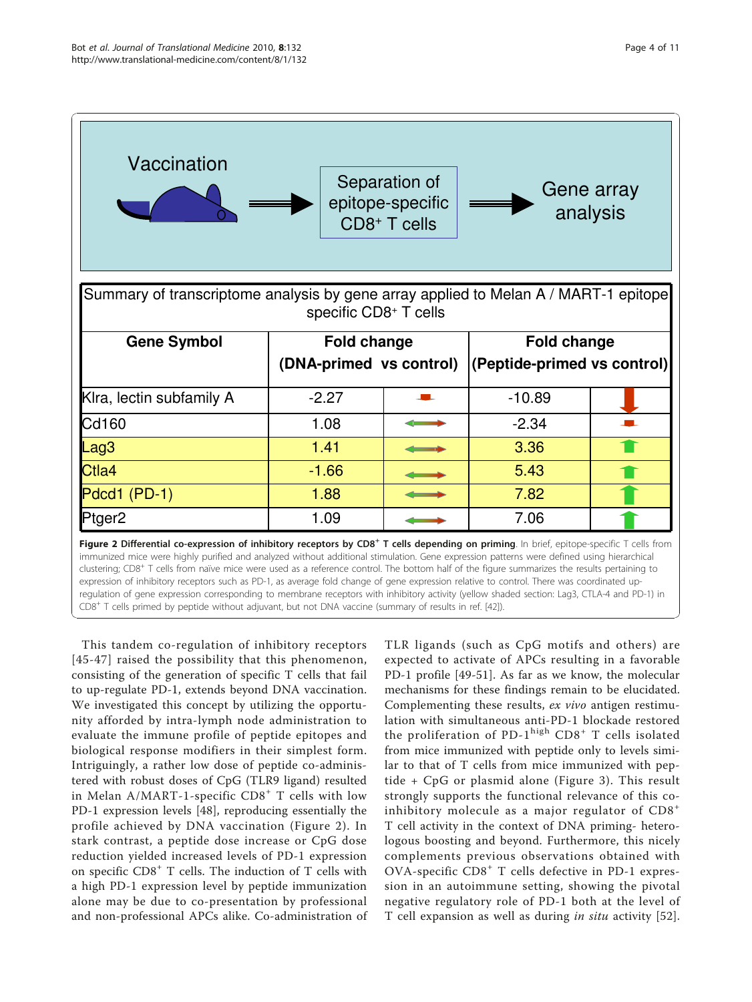<span id="page-3-0"></span>

CD8+ T cells primed by peptide without adjuvant, but not DNA vaccine (summary of results in ref. [\[42](#page-9-0)]).

This tandem co-regulation of inhibitory receptors [[45-47](#page-9-0)] raised the possibility that this phenomenon, consisting of the generation of specific T cells that fail to up-regulate PD-1, extends beyond DNA vaccination. We investigated this concept by utilizing the opportunity afforded by intra-lymph node administration to evaluate the immune profile of peptide epitopes and biological response modifiers in their simplest form. Intriguingly, a rather low dose of peptide co-administered with robust doses of CpG (TLR9 ligand) resulted in Melan A/MART-1-specific CD8<sup>+</sup> T cells with low PD-1 expression levels [[48\]](#page-9-0), reproducing essentially the profile achieved by DNA vaccination (Figure 2). In stark contrast, a peptide dose increase or CpG dose reduction yielded increased levels of PD-1 expression on specific  $CDS^+$  T cells. The induction of T cells with a high PD-1 expression level by peptide immunization alone may be due to co-presentation by professional and non-professional APCs alike. Co-administration of

TLR ligands (such as CpG motifs and others) are expected to activate of APCs resulting in a favorable PD-1 profile [[49-51](#page-9-0)]. As far as we know, the molecular mechanisms for these findings remain to be elucidated. Complementing these results, ex vivo antigen restimulation with simultaneous anti-PD-1 blockade restored the proliferation of PD-1 $^{\text{high}}$  CD8<sup>+</sup> T cells isolated from mice immunized with peptide only to levels similar to that of T cells from mice immunized with peptide + CpG or plasmid alone (Figure [3](#page-4-0)). This result strongly supports the functional relevance of this coinhibitory molecule as a major regulator of CD8<sup>+</sup> T cell activity in the context of DNA priming- heterologous boosting and beyond. Furthermore, this nicely complements previous observations obtained with  $OVA$ -specific  $CDB^+$  T cells defective in PD-1 expression in an autoimmune setting, showing the pivotal negative regulatory role of PD-1 both at the level of T cell expansion as well as during in situ activity [[52](#page-9-0)].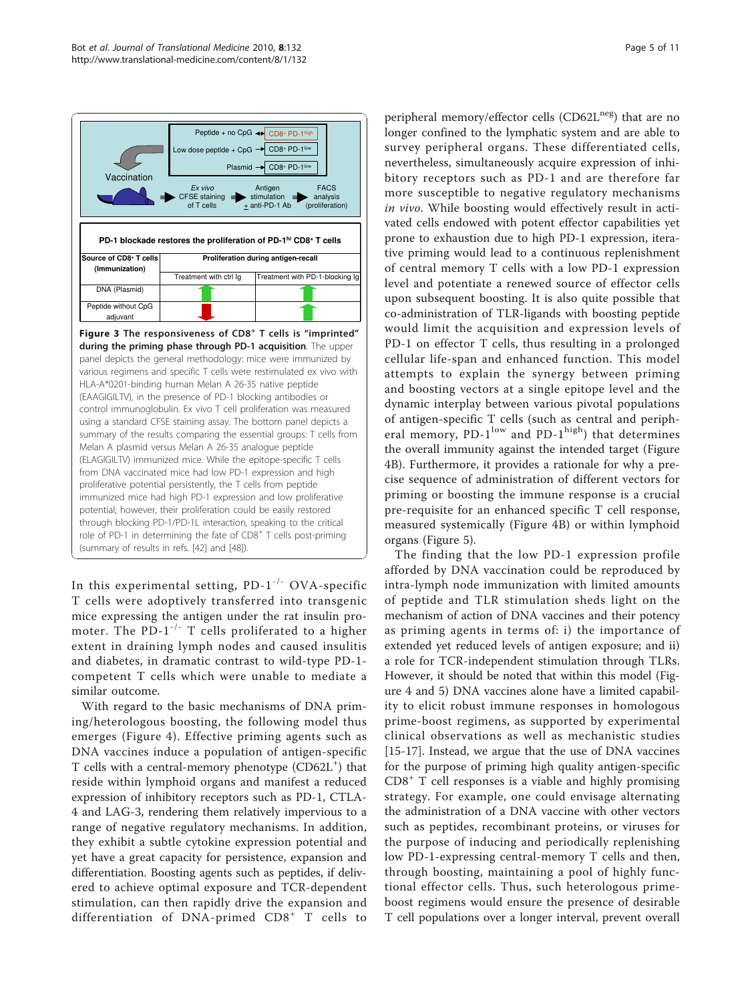<span id="page-4-0"></span>

control immunoglobulin. Ex vivo T cell proliferation was measured using a standard CFSE staining assay. The bottom panel depicts a summary of the results comparing the essential groups: T cells from Melan A plasmid versus Melan A 26-35 analogue peptide (ELAGIGILTV) immunized mice. While the epitope-specific T cells from DNA vaccinated mice had low PD-1 expression and high proliferative potential persistently, the T cells from peptide immunized mice had high PD-1 expression and low proliferative potential; however, their proliferation could be easily restored through blocking PD-1/PD-1L interaction, speaking to the critical role of PD-1 in determining the fate of CD8<sup>+</sup> T cells post-priming (summary of results in refs. [\[42](#page-9-0)] and [[48](#page-9-0)]).

In this experimental setting,  $PD-1^{-/-}$  OVA-specific T cells were adoptively transferred into transgenic mice expressing the antigen under the rat insulin promoter. The PD-1<sup>-/-</sup> T cells proliferated to a higher extent in draining lymph nodes and caused insulitis and diabetes, in dramatic contrast to wild-type PD-1 competent T cells which were unable to mediate a similar outcome.

With regard to the basic mechanisms of DNA priming/heterologous boosting, the following model thus emerges (Figure [4\)](#page-5-0). Effective priming agents such as DNA vaccines induce a population of antigen-specific T cells with a central-memory phenotype (CD62L<sup>+</sup>) that reside within lymphoid organs and manifest a reduced expression of inhibitory receptors such as PD-1, CTLA-4 and LAG-3, rendering them relatively impervious to a range of negative regulatory mechanisms. In addition, they exhibit a subtle cytokine expression potential and yet have a great capacity for persistence, expansion and differentiation. Boosting agents such as peptides, if delivered to achieve optimal exposure and TCR-dependent stimulation, can then rapidly drive the expansion and differentiation of DNA-primed CD8<sup>+</sup> T cells to

peripheral memory/effector cells (CD62L<sup>neg</sup>) that are no longer confined to the lymphatic system and are able to survey peripheral organs. These differentiated cells, nevertheless, simultaneously acquire expression of inhibitory receptors such as PD-1 and are therefore far more susceptible to negative regulatory mechanisms in vivo. While boosting would effectively result in activated cells endowed with potent effector capabilities yet prone to exhaustion due to high PD-1 expression, iterative priming would lead to a continuous replenishment of central memory T cells with a low PD-1 expression level and potentiate a renewed source of effector cells upon subsequent boosting. It is also quite possible that co-administration of TLR-ligands with boosting peptide would limit the acquisition and expression levels of PD-1 on effector T cells, thus resulting in a prolonged cellular life-span and enhanced function. This model attempts to explain the synergy between priming and boosting vectors at a single epitope level and the dynamic interplay between various pivotal populations of antigen-specific T cells (such as central and peripheral memory,  $PD-1^{\text{low}}$  and  $PD-1^{\text{high}}$ ) that determines the overall immunity against the intended target (Figure [4B\)](#page-5-0). Furthermore, it provides a rationale for why a precise sequence of administration of different vectors for priming or boosting the immune response is a crucial pre-requisite for an enhanced specific T cell response, measured systemically (Figure [4B\)](#page-5-0) or within lymphoid organs (Figure [5\)](#page-6-0).

The finding that the low PD-1 expression profile afforded by DNA vaccination could be reproduced by intra-lymph node immunization with limited amounts of peptide and TLR stimulation sheds light on the mechanism of action of DNA vaccines and their potency as priming agents in terms of: i) the importance of extended yet reduced levels of antigen exposure; and ii) a role for TCR-independent stimulation through TLRs. However, it should be noted that within this model (Figure [4](#page-5-0) and [5](#page-6-0)) DNA vaccines alone have a limited capability to elicit robust immune responses in homologous prime-boost regimens, as supported by experimental clinical observations as well as mechanistic studies [[15-17](#page-8-0)]. Instead, we argue that the use of DNA vaccines for the purpose of priming high quality antigen-specific  $CD8<sup>+</sup>$  T cell responses is a viable and highly promising strategy. For example, one could envisage alternating the administration of a DNA vaccine with other vectors such as peptides, recombinant proteins, or viruses for the purpose of inducing and periodically replenishing low PD-1-expressing central-memory T cells and then, through boosting, maintaining a pool of highly functional effector cells. Thus, such heterologous primeboost regimens would ensure the presence of desirable T cell populations over a longer interval, prevent overall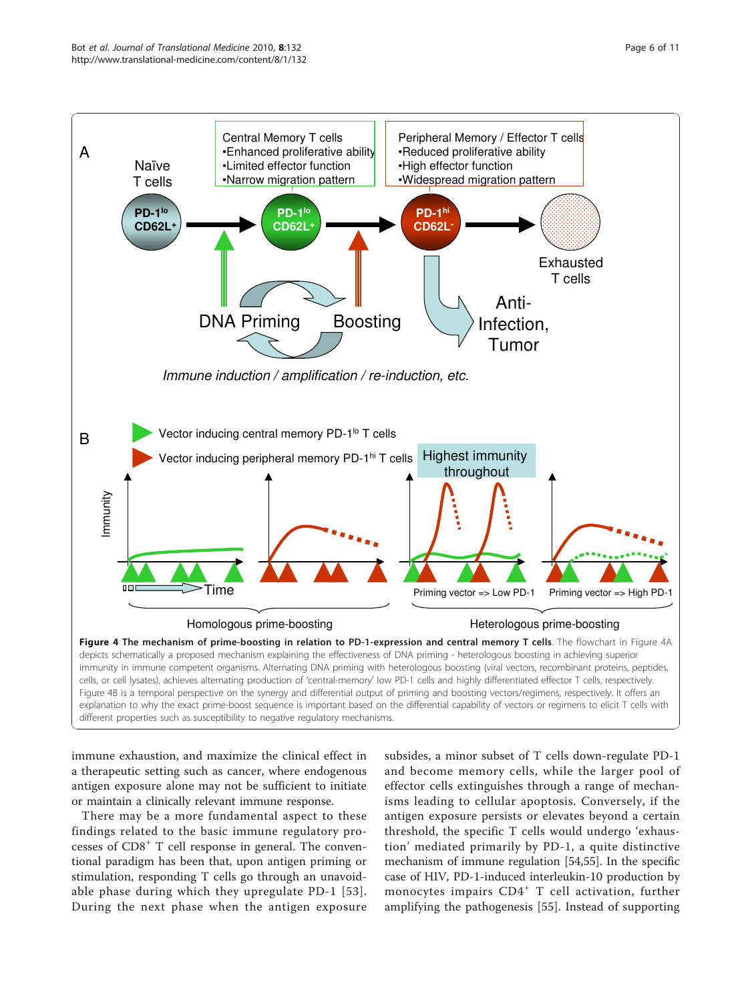<span id="page-5-0"></span>

immune exhaustion, and maximize the clinical effect in a therapeutic setting such as cancer, where endogenous antigen exposure alone may not be sufficient to initiate or maintain a clinically relevant immune response.

There may be a more fundamental aspect to these findings related to the basic immune regulatory processes of CD8<sup>+</sup> T cell response in general. The conventional paradigm has been that, upon antigen priming or stimulation, responding T cells go through an unavoidable phase during which they upregulate PD-1 [[53\]](#page-9-0). During the next phase when the antigen exposure

subsides, a minor subset of T cells down-regulate PD-1 and become memory cells, while the larger pool of effector cells extinguishes through a range of mechanisms leading to cellular apoptosis. Conversely, if the antigen exposure persists or elevates beyond a certain threshold, the specific T cells would undergo 'exhaustion' mediated primarily by PD-1, a quite distinctive mechanism of immune regulation [\[54,55\]](#page-9-0). In the specific case of HIV, PD-1-induced interleukin-10 production by monocytes impairs CD4<sup>+</sup> T cell activation, further amplifying the pathogenesis [[55\]](#page-9-0). Instead of supporting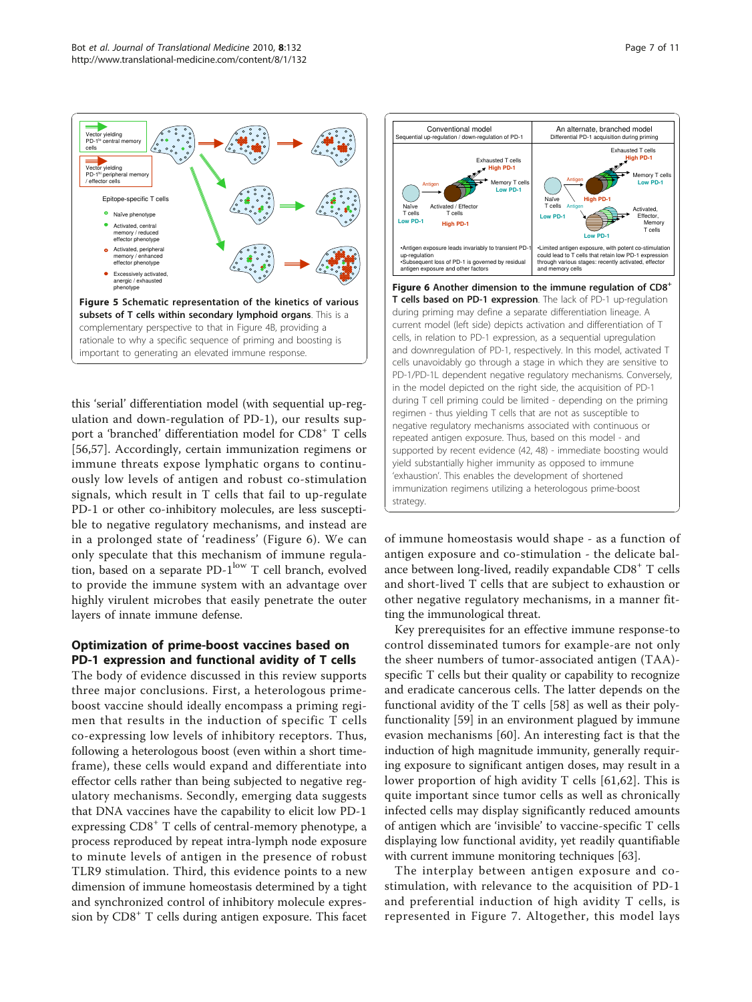<span id="page-6-0"></span>

this 'serial' differentiation model (with sequential up-regulation and down-regulation of PD-1), our results support a 'branched' differentiation model for CD8<sup>+</sup> T cells [[56,57](#page-9-0)]. Accordingly, certain immunization regimens or immune threats expose lymphatic organs to continuously low levels of antigen and robust co-stimulation signals, which result in T cells that fail to up-regulate PD-1 or other co-inhibitory molecules, are less susceptible to negative regulatory mechanisms, and instead are in a prolonged state of 'readiness' (Figure 6). We can only speculate that this mechanism of immune regulation, based on a separate PD-1<sup>low</sup> T cell branch, evolved to provide the immune system with an advantage over highly virulent microbes that easily penetrate the outer layers of innate immune defense.

# Optimization of prime-boost vaccines based on PD-1 expression and functional avidity of T cells

The body of evidence discussed in this review supports three major conclusions. First, a heterologous primeboost vaccine should ideally encompass a priming regimen that results in the induction of specific T cells co-expressing low levels of inhibitory receptors. Thus, following a heterologous boost (even within a short timeframe), these cells would expand and differentiate into effector cells rather than being subjected to negative regulatory mechanisms. Secondly, emerging data suggests that DNA vaccines have the capability to elicit low PD-1 expressing CD8<sup>+</sup> T cells of central-memory phenotype, a process reproduced by repeat intra-lymph node exposure to minute levels of antigen in the presence of robust TLR9 stimulation. Third, this evidence points to a new dimension of immune homeostasis determined by a tight and synchronized control of inhibitory molecule expression by CD8<sup>+</sup> T cells during antigen exposure. This facet



of immune homeostasis would shape - as a function of antigen exposure and co-stimulation - the delicate balance between long-lived, readily expandable  $CDS^+$  T cells and short-lived T cells that are subject to exhaustion or other negative regulatory mechanisms, in a manner fitting the immunological threat.

Key prerequisites for an effective immune response-to control disseminated tumors for example-are not only the sheer numbers of tumor-associated antigen (TAA) specific T cells but their quality or capability to recognize and eradicate cancerous cells. The latter depends on the functional avidity of the T cells [\[58](#page-9-0)] as well as their polyfunctionality [\[59](#page-9-0)] in an environment plagued by immune evasion mechanisms [[60\]](#page-9-0). An interesting fact is that the induction of high magnitude immunity, generally requiring exposure to significant antigen doses, may result in a lower proportion of high avidity T cells [[61](#page-9-0)[,62\]](#page-10-0). This is quite important since tumor cells as well as chronically infected cells may display significantly reduced amounts of antigen which are 'invisible' to vaccine-specific T cells displaying low functional avidity, yet readily quantifiable with current immune monitoring techniques [\[63](#page-10-0)].

The interplay between antigen exposure and costimulation, with relevance to the acquisition of PD-1 and preferential induction of high avidity T cells, is represented in Figure [7.](#page-7-0) Altogether, this model lays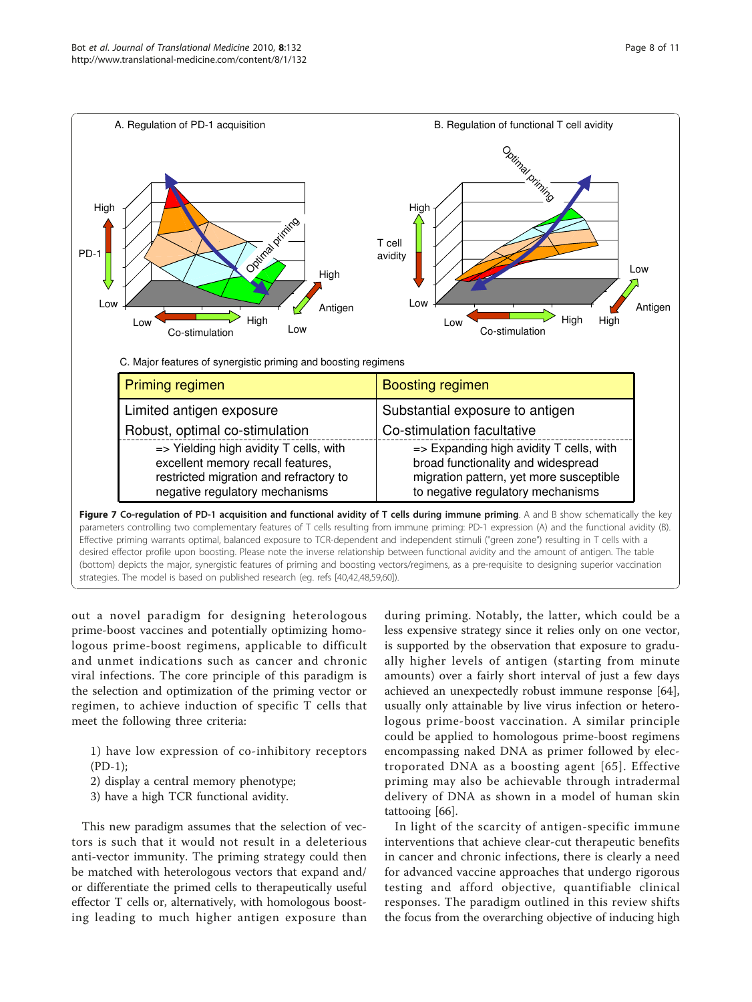<span id="page-7-0"></span>

out a novel paradigm for designing heterologous prime-boost vaccines and potentially optimizing homologous prime-boost regimens, applicable to difficult and unmet indications such as cancer and chronic viral infections. The core principle of this paradigm is the selection and optimization of the priming vector or regimen, to achieve induction of specific T cells that meet the following three criteria:

- 1) have low expression of co-inhibitory receptors (PD-1);
- 2) display a central memory phenotype;
- 3) have a high TCR functional avidity.

This new paradigm assumes that the selection of vectors is such that it would not result in a deleterious anti-vector immunity. The priming strategy could then be matched with heterologous vectors that expand and/ or differentiate the primed cells to therapeutically useful effector T cells or, alternatively, with homologous boosting leading to much higher antigen exposure than during priming. Notably, the latter, which could be a less expensive strategy since it relies only on one vector, is supported by the observation that exposure to gradually higher levels of antigen (starting from minute amounts) over a fairly short interval of just a few days achieved an unexpectedly robust immune response [\[64](#page-10-0)], usually only attainable by live virus infection or heterologous prime-boost vaccination. A similar principle could be applied to homologous prime-boost regimens encompassing naked DNA as primer followed by electroporated DNA as a boosting agent [[65](#page-10-0)]. Effective priming may also be achievable through intradermal delivery of DNA as shown in a model of human skin tattooing [[66\]](#page-10-0).

In light of the scarcity of antigen-specific immune interventions that achieve clear-cut therapeutic benefits in cancer and chronic infections, there is clearly a need for advanced vaccine approaches that undergo rigorous testing and afford objective, quantifiable clinical responses. The paradigm outlined in this review shifts the focus from the overarching objective of inducing high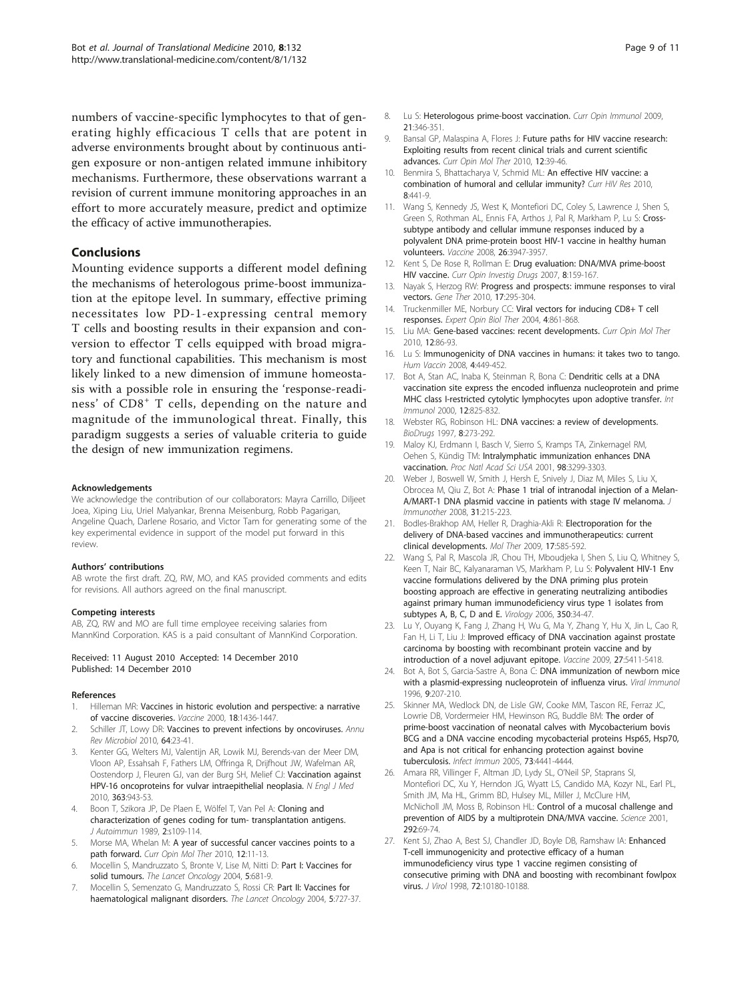<span id="page-8-0"></span>numbers of vaccine-specific lymphocytes to that of generating highly efficacious T cells that are potent in adverse environments brought about by continuous antigen exposure or non-antigen related immune inhibitory mechanisms. Furthermore, these observations warrant a revision of current immune monitoring approaches in an effort to more accurately measure, predict and optimize the efficacy of active immunotherapies.

# Conclusions

Mounting evidence supports a different model defining the mechanisms of heterologous prime-boost immunization at the epitope level. In summary, effective priming necessitates low PD-1-expressing central memory T cells and boosting results in their expansion and conversion to effector T cells equipped with broad migratory and functional capabilities. This mechanism is most likely linked to a new dimension of immune homeostasis with a possible role in ensuring the 'response-readiness' of CD8<sup>+</sup> T cells, depending on the nature and magnitude of the immunological threat. Finally, this paradigm suggests a series of valuable criteria to guide the design of new immunization regimens.

### Acknowledgements

We acknowledge the contribution of our collaborators: Mayra Carrillo, Diljeet Joea, Xiping Liu, Uriel Malyankar, Brenna Meisenburg, Robb Pagarigan, Angeline Quach, Darlene Rosario, and Victor Tam for generating some of the key experimental evidence in support of the model put forward in this review.

#### Authors' contributions

AB wrote the first draft. ZQ, RW, MO, and KAS provided comments and edits for revisions. All authors agreed on the final manuscript.

#### Competing interests

AB, ZQ, RW and MO are full time employee receiving salaries from MannKind Corporation. KAS is a paid consultant of MannKind Corporation.

#### Received: 11 August 2010 Accepted: 14 December 2010 Published: 14 December 2010

#### References

- Hilleman MR: [Vaccines in historic evolution and perspective: a narrative](http://www.ncbi.nlm.nih.gov/pubmed/10618541?dopt=Abstract) [of vaccine discoveries.](http://www.ncbi.nlm.nih.gov/pubmed/10618541?dopt=Abstract) Vaccine 2000, 18:1436-1447.
- 2. Schiller JT, Lowy DR: [Vaccines to prevent infections by oncoviruses.](http://www.ncbi.nlm.nih.gov/pubmed/20420520?dopt=Abstract) Annu Rev Microbiol 2010, 64:23-41.
- 3. Kenter GG, Welters MJ, Valentijn AR, Lowik MJ, Berends-van der Meer DM, Vloon AP, Essahsah F, Fathers LM, Offringa R, Drijfhout JW, Wafelman AR, Oostendorp J, Fleuren GJ, van der Burg SH, Melief CJ: [Vaccination against](http://www.ncbi.nlm.nih.gov/pubmed/20818904?dopt=Abstract) [HPV-16 oncoproteins for vulvar intraepithelial neoplasia.](http://www.ncbi.nlm.nih.gov/pubmed/20818904?dopt=Abstract) N Engl J Med 2010, 363:943-53.
- 4. Boon T, Szikora JP, De Plaen E, Wölfel T, Van Pel A: Cloning and characterization of genes coding for tum- transplantation antigens. J Autoimmun 1989, 2:s109-114.
- 5. Morse MA, Whelan M: [A year of successful cancer vaccines points to a](http://www.ncbi.nlm.nih.gov/pubmed/20140811?dopt=Abstract) [path forward.](http://www.ncbi.nlm.nih.gov/pubmed/20140811?dopt=Abstract) Curr Opin Mol Ther 2010, 12:11-13.
- 6. Mocellin S, Mandruzzato S, Bronte V, Lise M, Nitti D: [Part I: Vaccines for](http://www.ncbi.nlm.nih.gov/pubmed/15522656?dopt=Abstract) [solid tumours.](http://www.ncbi.nlm.nih.gov/pubmed/15522656?dopt=Abstract) The Lancet Oncology 2004, 5:681-9.
- Mocellin S, Semenzato G, Mandruzzato S, Rossi CR: [Part II: Vaccines for](http://www.ncbi.nlm.nih.gov/pubmed/15581544?dopt=Abstract) [haematological malignant disorders.](http://www.ncbi.nlm.nih.gov/pubmed/15581544?dopt=Abstract) The Lancet Oncology 2004, 5:727-37.
- 8. Lu S: [Heterologous prime-boost vaccination.](http://www.ncbi.nlm.nih.gov/pubmed/19500964?dopt=Abstract) Curr Opin Immunol 2009. 21:346-351.
- 9. Bansal GP, Malaspina A, Flores J: [Future paths for HIV vaccine research:](http://www.ncbi.nlm.nih.gov/pubmed/20140815?dopt=Abstract) [Exploiting results from recent clinical trials and current scientific](http://www.ncbi.nlm.nih.gov/pubmed/20140815?dopt=Abstract) [advances.](http://www.ncbi.nlm.nih.gov/pubmed/20140815?dopt=Abstract) Curr Opin Mol Ther 2010, 12:39-46.
- 10. Benmira S, Bhattacharya V, Schmid ML: [An effective HIV vaccine: a](http://www.ncbi.nlm.nih.gov/pubmed/20636279?dopt=Abstract) [combination of humoral and cellular immunity?](http://www.ncbi.nlm.nih.gov/pubmed/20636279?dopt=Abstract) Curr HIV Res 2010, 8:441-9.
- 11. Wang S, Kennedy JS, West K, Montefiori DC, Coley S, Lawrence J, Shen S, Green S, Rothman AL, Ennis FA, Arthos J, Pal R, Markham P, Lu S: [Cross](http://www.ncbi.nlm.nih.gov/pubmed/18724414?dopt=Abstract)[subtype antibody and cellular immune responses induced by a](http://www.ncbi.nlm.nih.gov/pubmed/18724414?dopt=Abstract) [polyvalent DNA prime-protein boost HIV-1 vaccine in healthy human](http://www.ncbi.nlm.nih.gov/pubmed/18724414?dopt=Abstract) [volunteers.](http://www.ncbi.nlm.nih.gov/pubmed/18724414?dopt=Abstract) Vaccine 2008, 26:3947-3957.
- 12. Kent S, De Rose R, Rollman E: [Drug evaluation: DNA/MVA prime-boost](http://www.ncbi.nlm.nih.gov/pubmed/17328232?dopt=Abstract) [HIV vaccine.](http://www.ncbi.nlm.nih.gov/pubmed/17328232?dopt=Abstract) Curr Opin Investig Drugs 2007, 8:159-167.
- 13. Nayak S, Herzog RW: [Progress and prospects: immune responses to viral](http://www.ncbi.nlm.nih.gov/pubmed/19907498?dopt=Abstract) [vectors.](http://www.ncbi.nlm.nih.gov/pubmed/19907498?dopt=Abstract) Gene Ther 2010, 17:295-304.
- 14. Truckenmiller ME, Norbury CC: [Viral vectors for inducing CD8+ T cell](http://www.ncbi.nlm.nih.gov/pubmed/15174968?dopt=Abstract) [responses.](http://www.ncbi.nlm.nih.gov/pubmed/15174968?dopt=Abstract) Expert Opin Biol Ther 2004, 4:861-868.
- 15. Liu MA: [Gene-based vaccines: recent developments.](http://www.ncbi.nlm.nih.gov/pubmed/20140820?dopt=Abstract) Curr Opin Mol Ther 2010, 12:86-93.
- 16. Lu S: [Immunogenicity of DNA vaccines in humans: it takes two to tango.](http://www.ncbi.nlm.nih.gov/pubmed/18443427?dopt=Abstract) Hum Vaccin 2008, 4:449-452.
- 17. Bot A, Stan AC, Inaba K, Steinman R, Bona C: [Dendritic cells at a DNA](http://www.ncbi.nlm.nih.gov/pubmed/10837410?dopt=Abstract) [vaccination site express the encoded influenza nucleoprotein and prime](http://www.ncbi.nlm.nih.gov/pubmed/10837410?dopt=Abstract) [MHC class I-restricted cytolytic lymphocytes upon adoptive transfer.](http://www.ncbi.nlm.nih.gov/pubmed/10837410?dopt=Abstract) Int Immunol 2000, 12:825-832.
- 18. Webster RG, Robinson HL: [DNA vaccines: a review of developments.](http://www.ncbi.nlm.nih.gov/pubmed/18020519?dopt=Abstract) BioDrugs 1997, 8:273-292.
- 19. Maloy KJ, Erdmann I, Basch V, Sierro S, Kramps TA, Zinkernagel RM, Oehen S, Kündig TM: [Intralymphatic immunization enhances DNA](http://www.ncbi.nlm.nih.gov/pubmed/11248073?dopt=Abstract) [vaccination.](http://www.ncbi.nlm.nih.gov/pubmed/11248073?dopt=Abstract) Proc Natl Acad Sci USA 2001, 98:3299-3303.
- 20. Weber J, Boswell W, Smith J, Hersh E, Snively J, Diaz M, Miles S, Liu X, Obrocea M, Qiu Z, Bot A: [Phase 1 trial of intranodal injection of a Melan-](http://www.ncbi.nlm.nih.gov/pubmed/18481391?dopt=Abstract)[A/MART-1 DNA plasmid vaccine in patients with stage IV melanoma.](http://www.ncbi.nlm.nih.gov/pubmed/18481391?dopt=Abstract) J Immunother 2008, 31:215-223.
- 21. Bodles-Brakhop AM, Heller R, Draghia-Akli R: [Electroporation for the](http://www.ncbi.nlm.nih.gov/pubmed/19223870?dopt=Abstract) [delivery of DNA-based vaccines and immunotherapeutics: current](http://www.ncbi.nlm.nih.gov/pubmed/19223870?dopt=Abstract) [clinical developments.](http://www.ncbi.nlm.nih.gov/pubmed/19223870?dopt=Abstract) Mol Ther 2009, 17:585-592.
- 22. Wang S, Pal R, Mascola JR, Chou TH, Mboudjeka I, Shen S, Liu Q, Whitney S, Keen T, Nair BC, Kalyanaraman VS, Markham P, Lu S: [Polyvalent HIV-1 Env](http://www.ncbi.nlm.nih.gov/pubmed/16616287?dopt=Abstract) [vaccine formulations delivered by the DNA priming plus protein](http://www.ncbi.nlm.nih.gov/pubmed/16616287?dopt=Abstract) [boosting approach are effective in generating neutralizing antibodies](http://www.ncbi.nlm.nih.gov/pubmed/16616287?dopt=Abstract) [against primary human immunodeficiency virus type 1 isolates from](http://www.ncbi.nlm.nih.gov/pubmed/16616287?dopt=Abstract) [subtypes A, B, C, D and E.](http://www.ncbi.nlm.nih.gov/pubmed/16616287?dopt=Abstract) Virology 2006, 350:34-47.
- 23. Lu Y, Ouyang K, Fang J, Zhang H, Wu G, Ma Y, Zhang Y, Hu X, Jin L, Cao R, Fan H, Li T, Liu J: [Improved efficacy of DNA vaccination against prostate](http://www.ncbi.nlm.nih.gov/pubmed/19616501?dopt=Abstract) [carcinoma by boosting with recombinant protein vaccine and by](http://www.ncbi.nlm.nih.gov/pubmed/19616501?dopt=Abstract) [introduction of a novel adjuvant epitope.](http://www.ncbi.nlm.nih.gov/pubmed/19616501?dopt=Abstract) Vaccine 2009, 27:5411-5418.
- 24. Bot A, Bot S, Garcia-Sastre A, Bona C: [DNA immunization of newborn mice](http://www.ncbi.nlm.nih.gov/pubmed/8978016?dopt=Abstract) [with a plasmid-expressing nucleoprotein of influenza virus.](http://www.ncbi.nlm.nih.gov/pubmed/8978016?dopt=Abstract) Viral Immunol 1996, 9:207-210.
- 25. Skinner MA, Wedlock DN, de Lisle GW, Cooke MM, Tascon RE, Ferraz JC, Lowrie DB, Vordermeier HM, Hewinson RG, Buddle BM: [The order of](http://www.ncbi.nlm.nih.gov/pubmed/15972546?dopt=Abstract) [prime-boost vaccination of neonatal calves with Mycobacterium bovis](http://www.ncbi.nlm.nih.gov/pubmed/15972546?dopt=Abstract) [BCG and a DNA vaccine encoding mycobacterial proteins Hsp65, Hsp70,](http://www.ncbi.nlm.nih.gov/pubmed/15972546?dopt=Abstract) [and Apa is not critical for enhancing protection against bovine](http://www.ncbi.nlm.nih.gov/pubmed/15972546?dopt=Abstract) [tuberculosis.](http://www.ncbi.nlm.nih.gov/pubmed/15972546?dopt=Abstract) Infect Immun 2005, 73:4441-4444.
- 26. Amara RR, Villinger F, Altman JD, Lydy SL, O'Neil SP, Staprans SI, Montefiori DC, Xu Y, Herndon JG, Wyatt LS, Candido MA, Kozyr NL, Earl PL, Smith JM, Ma HL, Grimm BD, Hulsey ML, Miller J, McClure HM, McNicholl JM, Moss B, Robinson HL: [Control of a mucosal challenge and](http://www.ncbi.nlm.nih.gov/pubmed/11393868?dopt=Abstract) [prevention of AIDS by a multiprotein DNA/MVA vaccine.](http://www.ncbi.nlm.nih.gov/pubmed/11393868?dopt=Abstract) Science 2001, 292:69-74.
- 27. Kent SJ, Zhao A, Best SJ, Chandler JD, Boyle DB, Ramshaw IA: [Enhanced](http://www.ncbi.nlm.nih.gov/pubmed/9811759?dopt=Abstract) [T-cell immunogenicity and protective efficacy of a human](http://www.ncbi.nlm.nih.gov/pubmed/9811759?dopt=Abstract) [immunodeficiency virus type 1 vaccine regimen consisting of](http://www.ncbi.nlm.nih.gov/pubmed/9811759?dopt=Abstract) [consecutive priming with DNA and boosting with recombinant fowlpox](http://www.ncbi.nlm.nih.gov/pubmed/9811759?dopt=Abstract) [virus.](http://www.ncbi.nlm.nih.gov/pubmed/9811759?dopt=Abstract) *J Virol* 1998, **72**:10180-10188.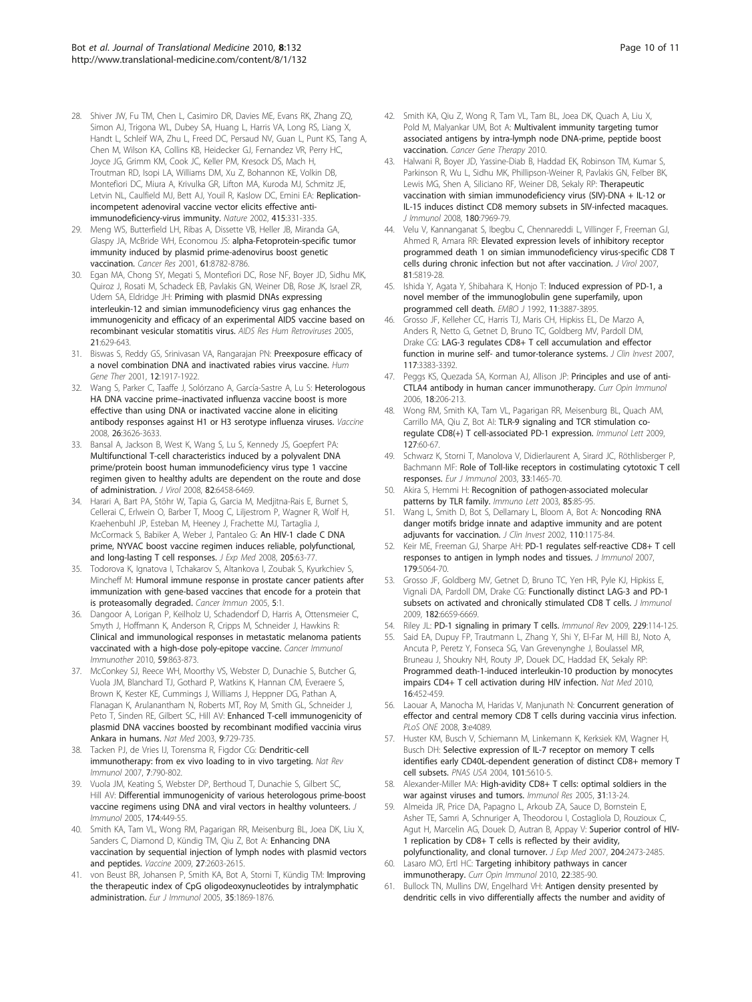- <span id="page-9-0"></span>28. Shiver JW, Fu TM, Chen L, Casimiro DR, Davies ME, Evans RK, Zhang ZQ, Simon AJ, Trigona WL, Dubey SA, Huang L, Harris VA, Long RS, Liang X, Handt L, Schleif WA, Zhu L, Freed DC, Persaud NV, Guan L, Punt KS, Tang A, Chen M, Wilson KA, Collins KB, Heidecker GJ, Fernandez VR, Perry HC, Joyce JG, Grimm KM, Cook JC, Keller PM, Kresock DS, Mach H, Troutman RD, Isopi LA, Williams DM, Xu Z, Bohannon KE, Volkin DB, Montefiori DC, Miura A, Krivulka GR, Lifton MA, Kuroda MJ, Schmitz JE, Letvin NL, Caulfield MJ, Bett AJ, Youil R, Kaslow DC, Emini EA: [Replication](http://www.ncbi.nlm.nih.gov/pubmed/11797011?dopt=Abstract)[incompetent adenoviral vaccine vector elicits effective anti](http://www.ncbi.nlm.nih.gov/pubmed/11797011?dopt=Abstract)[immunodeficiency-virus immunity.](http://www.ncbi.nlm.nih.gov/pubmed/11797011?dopt=Abstract) Nature 2002, 415:331-335.
- 29. Meng WS, Butterfield LH, Ribas A, Dissette VB, Heller JB, Miranda GA, Glaspy JA, McBride WH, Economou JS: [alpha-Fetoprotein-specific tumor](http://www.ncbi.nlm.nih.gov/pubmed/11751399?dopt=Abstract) [immunity induced by plasmid prime-adenovirus boost genetic](http://www.ncbi.nlm.nih.gov/pubmed/11751399?dopt=Abstract) [vaccination.](http://www.ncbi.nlm.nih.gov/pubmed/11751399?dopt=Abstract) Cancer Res 2001, 61:8782-8786.
- 30. Egan MA, Chong SY, Megati S, Montefiori DC, Rose NF, Boyer JD, Sidhu MK, Quiroz J, Rosati M, Schadeck EB, Pavlakis GN, Weiner DB, Rose JK, Israel ZR, Udem SA, Eldridge JH: [Priming with plasmid DNAs expressing](http://www.ncbi.nlm.nih.gov/pubmed/16060834?dopt=Abstract) [interleukin-12 and simian immunodeficiency virus gag enhances the](http://www.ncbi.nlm.nih.gov/pubmed/16060834?dopt=Abstract) [immunogenicity and efficacy of an experimental AIDS vaccine based on](http://www.ncbi.nlm.nih.gov/pubmed/16060834?dopt=Abstract) [recombinant vesicular stomatitis virus.](http://www.ncbi.nlm.nih.gov/pubmed/16060834?dopt=Abstract) AIDS Res Hum Retroviruses 2005, 21:629-643.
- 31. Biswas S, Reddy GS, Srinivasan VA, Rangarajan PN: [Preexposure efficacy of](http://www.ncbi.nlm.nih.gov/pubmed/11589833?dopt=Abstract) [a novel combination DNA and inactivated rabies virus vaccine.](http://www.ncbi.nlm.nih.gov/pubmed/11589833?dopt=Abstract) Hum Gene Ther 2001, 12:1917-1922.
- 32. Wang S, Parker C, Taaffe J, Solórzano A, García-Sastre A, Lu S: [Heterologous](http://www.ncbi.nlm.nih.gov/pubmed/18538900?dopt=Abstract) HA DNA vaccine prime–[inactivated influenza vaccine boost is more](http://www.ncbi.nlm.nih.gov/pubmed/18538900?dopt=Abstract) [effective than using DNA or inactivated vaccine alone in eliciting](http://www.ncbi.nlm.nih.gov/pubmed/18538900?dopt=Abstract) [antibody responses against H1 or H3 serotype influenza viruses.](http://www.ncbi.nlm.nih.gov/pubmed/18538900?dopt=Abstract) Vaccine 2008, 26:3626-3633.
- 33. Bansal A, Jackson B, West K, Wang S, Lu S, Kennedy JS, Goepfert PA: [Multifunctional T-cell characteristics induced by a polyvalent DNA](http://www.ncbi.nlm.nih.gov/pubmed/18448544?dopt=Abstract) [prime/protein boost human immunodeficiency virus type 1 vaccine](http://www.ncbi.nlm.nih.gov/pubmed/18448544?dopt=Abstract) [regimen given to healthy adults are dependent on the route and dose](http://www.ncbi.nlm.nih.gov/pubmed/18448544?dopt=Abstract) [of administration.](http://www.ncbi.nlm.nih.gov/pubmed/18448544?dopt=Abstract) J Virol 2008, 82:6458-6469.
- 34. Harari A, Bart PA, Stöhr W, Tapia G, Garcia M, Medjitna-Rais E, Burnet S, Cellerai C, Erlwein O, Barber T, Moog C, Liljestrom P, Wagner R, Wolf H, Kraehenbuhl JP, Esteban M, Heeney J, Frachette MJ, Tartaglia J, McCormack S, Babiker A, Weber J, Pantaleo G: [An HIV-1 clade C DNA](http://www.ncbi.nlm.nih.gov/pubmed/18195071?dopt=Abstract) [prime, NYVAC boost vaccine regimen induces reliable, polyfunctional,](http://www.ncbi.nlm.nih.gov/pubmed/18195071?dopt=Abstract) [and long-lasting T cell responses.](http://www.ncbi.nlm.nih.gov/pubmed/18195071?dopt=Abstract) J Exp Med 2008, 205:63-77.
- 35. Todorova K, Ignatova I, Tchakarov S, Altankova I, Zoubak S, Kyurkchiev S, Mincheff M: [Humoral immune response in prostate cancer patients after](http://www.ncbi.nlm.nih.gov/pubmed/15641767?dopt=Abstract) [immunization with gene-based vaccines that encode for a protein that](http://www.ncbi.nlm.nih.gov/pubmed/15641767?dopt=Abstract) [is proteasomally degraded.](http://www.ncbi.nlm.nih.gov/pubmed/15641767?dopt=Abstract) Cancer Immun 2005, 5:1.
- 36. Dangoor A, Lorigan P, Keilholz U, Schadendorf D, Harris A, Ottensmeier C, Smyth J, Hoffmann K, Anderson R, Cripps M, Schneider J, Hawkins R: [Clinical and immunological responses in metastatic melanoma patients](http://www.ncbi.nlm.nih.gov/pubmed/20043222?dopt=Abstract) [vaccinated with a high-dose poly-epitope vaccine.](http://www.ncbi.nlm.nih.gov/pubmed/20043222?dopt=Abstract) Cancer Immunol Immunother 2010, 59:863-873.
- 37. McConkey SJ, Reece WH, Moorthy VS, Webster D, Dunachie S, Butcher G, Vuola JM, Blanchard TJ, Gothard P, Watkins K, Hannan CM, Everaere S, Brown K, Kester KE, Cummings J, Williams J, Heppner DG, Pathan A, Flanagan K, Arulanantham N, Roberts MT, Roy M, Smith GL, Schneider J, Peto T, Sinden RE, Gilbert SC, Hill AV: [Enhanced T-cell immunogenicity of](http://www.ncbi.nlm.nih.gov/pubmed/12766765?dopt=Abstract) [plasmid DNA vaccines boosted by recombinant modified vaccinia virus](http://www.ncbi.nlm.nih.gov/pubmed/12766765?dopt=Abstract) [Ankara in humans.](http://www.ncbi.nlm.nih.gov/pubmed/12766765?dopt=Abstract) Nat Med 2003, 9:729-735.
- 38. Tacken PJ, de Vries IJ, Torensma R, Figdor CG: [Dendritic-cell](http://www.ncbi.nlm.nih.gov/pubmed/17853902?dopt=Abstract) [immunotherapy: from ex vivo loading to in vivo targeting.](http://www.ncbi.nlm.nih.gov/pubmed/17853902?dopt=Abstract) Nat Rev Immunol 2007, 7:790-802.
- 39. Vuola JM, Keating S, Webster DP, Berthoud T, Dunachie S, Gilbert SC, Hill AV: [Differential immunogenicity of various heterologous prime-boost](http://www.ncbi.nlm.nih.gov/pubmed/15611270?dopt=Abstract) [vaccine regimens using DNA and viral vectors in healthy volunteers.](http://www.ncbi.nlm.nih.gov/pubmed/15611270?dopt=Abstract) J Immunol 2005, 174:449-55.
- 40. Smith KA, Tam VL, Wong RM, Pagarigan RR, Meisenburg BL, Joea DK, Liu X, Sanders C, Diamond D, Kündig TM, Qiu Z, Bot A: [Enhancing DNA](http://www.ncbi.nlm.nih.gov/pubmed/19428867?dopt=Abstract) [vaccination by sequential injection of lymph nodes with plasmid vectors](http://www.ncbi.nlm.nih.gov/pubmed/19428867?dopt=Abstract) [and peptides.](http://www.ncbi.nlm.nih.gov/pubmed/19428867?dopt=Abstract) Vaccine 2009, 27:2603-2615.
- 41. von Beust BR, Johansen P, Smith KA, Bot A, Storni T, Kündig TM: [Improving](http://www.ncbi.nlm.nih.gov/pubmed/15909311?dopt=Abstract) [the therapeutic index of CpG oligodeoxynucleotides by intralymphatic](http://www.ncbi.nlm.nih.gov/pubmed/15909311?dopt=Abstract) [administration.](http://www.ncbi.nlm.nih.gov/pubmed/15909311?dopt=Abstract) Eur J Immunol 2005, 35:1869-1876.
- 42. Smith KA, Qiu Z, Wong R, Tam VL, Tam BL, Joea DK, Quach A, Liu X, Pold M, Malyankar UM, Bot A: [Multivalent immunity targeting tumor](http://www.ncbi.nlm.nih.gov/pubmed/20725097?dopt=Abstract) [associated antigens by intra-lymph node DNA-prime, peptide boost](http://www.ncbi.nlm.nih.gov/pubmed/20725097?dopt=Abstract) [vaccination.](http://www.ncbi.nlm.nih.gov/pubmed/20725097?dopt=Abstract) Cancer Gene Therapy 2010.
- 43. Halwani R, Boyer JD, Yassine-Diab B, Haddad EK, Robinson TM, Kumar S, Parkinson R, Wu L, Sidhu MK, Phillipson-Weiner R, Pavlakis GN, Felber BK, Lewis MG, Shen A, Siliciano RF, Weiner DB, Sekaly RP: [Therapeutic](http://www.ncbi.nlm.nih.gov/pubmed/18523260?dopt=Abstract) [vaccination with simian immunodeficiency virus \(SIV\)-DNA + IL-12 or](http://www.ncbi.nlm.nih.gov/pubmed/18523260?dopt=Abstract) [IL-15 induces distinct CD8 memory subsets in SIV-infected macaques.](http://www.ncbi.nlm.nih.gov/pubmed/18523260?dopt=Abstract) J Immunol 2008, 180:7969-79.
- 44. Velu V, Kannanganat S, Ibegbu C, Chennareddi L, Villinger F, Freeman GJ, Ahmed R, Amara RR: [Elevated expression levels of inhibitory receptor](http://www.ncbi.nlm.nih.gov/pubmed/17376899?dopt=Abstract) [programmed death 1 on simian immunodeficiency virus-specific CD8 T](http://www.ncbi.nlm.nih.gov/pubmed/17376899?dopt=Abstract) [cells during chronic infection but not after vaccination.](http://www.ncbi.nlm.nih.gov/pubmed/17376899?dopt=Abstract) J Virol 2007, 81:5819-28.
- 45. Ishida Y, Agata Y, Shibahara K, Honjo T: [Induced expression of PD-1, a](http://www.ncbi.nlm.nih.gov/pubmed/1396582?dopt=Abstract) [novel member of the immunoglobulin gene superfamily, upon](http://www.ncbi.nlm.nih.gov/pubmed/1396582?dopt=Abstract) [programmed cell death.](http://www.ncbi.nlm.nih.gov/pubmed/1396582?dopt=Abstract) EMBO J 1992, 11:3887-3895.
- 46. Grosso JF, Kelleher CC, Harris TJ, Maris CH, Hipkiss EL, De Marzo A, Anders R, Netto G, Getnet D, Bruno TC, Goldberg MV, Pardoll DM, Drake CG: [LAG-3 regulates CD8+ T cell accumulation and effector](http://www.ncbi.nlm.nih.gov/pubmed/17932562?dopt=Abstract) [function in murine self- and tumor-tolerance systems.](http://www.ncbi.nlm.nih.gov/pubmed/17932562?dopt=Abstract) J Clin Invest 2007, 117:3383-3392.
- 47. Peggs KS, Quezada SA, Korman AJ, Allison JP: [Principles and use of anti-](http://www.ncbi.nlm.nih.gov/pubmed/16464564?dopt=Abstract)[CTLA4 antibody in human cancer immunotherapy.](http://www.ncbi.nlm.nih.gov/pubmed/16464564?dopt=Abstract) Curr Opin Immunol 2006, 18:206-213.
- 48. Wong RM, Smith KA, Tam VL, Pagarigan RR, Meisenburg BL, Quach AM, Carrillo MA, Qiu Z, Bot AI: [TLR-9 signaling and TCR stimulation co](http://www.ncbi.nlm.nih.gov/pubmed/19751765?dopt=Abstract)[regulate CD8\(+\) T cell-associated PD-1 expression.](http://www.ncbi.nlm.nih.gov/pubmed/19751765?dopt=Abstract) Immunol Lett 2009, 127:60-67.
- 49. Schwarz K, Storni T, Manolova V, Didierlaurent A, Sirard JC, Röthlisberger P, Bachmann MF: [Role of Toll-like receptors in costimulating cytotoxic T cell](http://www.ncbi.nlm.nih.gov/pubmed/12778463?dopt=Abstract) [responses.](http://www.ncbi.nlm.nih.gov/pubmed/12778463?dopt=Abstract) Eur J Immunol 2003, 33:1465-70.
- 50. Akira S, Hemmi H: Recognition of pathogen-associated molecular patterns by TLR family. Immuno Lett 2003, 85:85-95.
- 51. Wang L, Smith D, Bot S, Dellamary L, Bloom A, Bot A: [Noncoding RNA](http://www.ncbi.nlm.nih.gov/pubmed/12393853?dopt=Abstract) [danger motifs bridge innate and adaptive immunity and are potent](http://www.ncbi.nlm.nih.gov/pubmed/12393853?dopt=Abstract) [adjuvants for vaccination.](http://www.ncbi.nlm.nih.gov/pubmed/12393853?dopt=Abstract) J Clin Invest 2002, 110:1175-84.
- 52. Keir ME, Freeman GJ, Sharpe AH: [PD-1 regulates self-reactive CD8+ T cell](http://www.ncbi.nlm.nih.gov/pubmed/17911591?dopt=Abstract) [responses to antigen in lymph nodes and tissues.](http://www.ncbi.nlm.nih.gov/pubmed/17911591?dopt=Abstract) J Immunol 2007, 179:5064-70.
- 53. Grosso JF, Goldberg MV, Getnet D, Bruno TC, Yen HR, Pyle KJ, Hipkiss E, Vignali DA, Pardoll DM, Drake CG: [Functionally distinct LAG-3 and PD-1](http://www.ncbi.nlm.nih.gov/pubmed/19454660?dopt=Abstract) [subsets on activated and chronically stimulated CD8 T cells.](http://www.ncbi.nlm.nih.gov/pubmed/19454660?dopt=Abstract) *J Immunol* 2009, 182:6659-6669.
- 54. Riley JL: [PD-1 signaling in primary T cells.](http://www.ncbi.nlm.nih.gov/pubmed/19426218?dopt=Abstract) Immunol Rev 2009, 229:114-125.
- 55. Said EA, Dupuy FP, Trautmann L, Zhang Y, Shi Y, El-Far M, Hill BJ, Noto A, Ancuta P, Peretz Y, Fonseca SG, Van Grevenynghe J, Boulassel MR, Bruneau J, Shoukry NH, Routy JP, Douek DC, Haddad EK, Sekaly RP: [Programmed death-1-induced interleukin-10 production by monocytes](http://www.ncbi.nlm.nih.gov/pubmed/20208540?dopt=Abstract) [impairs CD4+ T cell activation during HIV infection.](http://www.ncbi.nlm.nih.gov/pubmed/20208540?dopt=Abstract) Nat Med 2010, 16:452-459.
- 56. Laouar A, Manocha M, Haridas V, Manjunath N: [Concurrent generation of](http://www.ncbi.nlm.nih.gov/pubmed/19116651?dopt=Abstract) [effector and central memory CD8 T cells during vaccinia virus infection.](http://www.ncbi.nlm.nih.gov/pubmed/19116651?dopt=Abstract) PLoS ONE 2008, 3:e4089.
- 57. Huster KM, Busch V, Schiemann M, Linkemann K, Kerksiek KM, Wagner H, Busch DH: [Selective expression of IL-7 receptor on memory T cells](http://www.ncbi.nlm.nih.gov/pubmed/15044705?dopt=Abstract) [identifies early CD40L-dependent generation of distinct CD8+ memory T](http://www.ncbi.nlm.nih.gov/pubmed/15044705?dopt=Abstract) [cell subsets.](http://www.ncbi.nlm.nih.gov/pubmed/15044705?dopt=Abstract) PNAS USA 2004, 101:5610-5.
- 58. Alexander-Miller MA: [High-avidity CD8+ T cells: optimal soldiers in the](http://www.ncbi.nlm.nih.gov/pubmed/15591619?dopt=Abstract) [war against viruses and tumors.](http://www.ncbi.nlm.nih.gov/pubmed/15591619?dopt=Abstract) Immunol Res 2005, 31:13-24.
- 59. Almeida JR, Price DA, Papagno L, Arkoub ZA, Sauce D, Bornstein E, Asher TE, Samri A, Schnuriger A, Theodorou I, Costagliola D, Rouzioux C, Agut H, Marcelin AG, Douek D, Autran B, Appay V: [Superior control of HIV-](http://www.ncbi.nlm.nih.gov/pubmed/17893201?dopt=Abstract)[1 replication by CD8+ T cells is reflected by their avidity,](http://www.ncbi.nlm.nih.gov/pubmed/17893201?dopt=Abstract) [polyfunctionality, and clonal turnover.](http://www.ncbi.nlm.nih.gov/pubmed/17893201?dopt=Abstract) J Exp Med 2007, 204:2473-2485.
- 60. Lasaro MO, Ertl HC: [Targeting inhibitory pathways in cancer](http://www.ncbi.nlm.nih.gov/pubmed/20466529?dopt=Abstract) [immunotherapy.](http://www.ncbi.nlm.nih.gov/pubmed/20466529?dopt=Abstract) Curr Opin Immunol 2010, 22:385-90.
- 61. Bullock TN, Mullins DW, Engelhard VH: [Antigen density presented by](http://www.ncbi.nlm.nih.gov/pubmed/12574347?dopt=Abstract) [dendritic cells in vivo differentially affects the number and avidity of](http://www.ncbi.nlm.nih.gov/pubmed/12574347?dopt=Abstract)